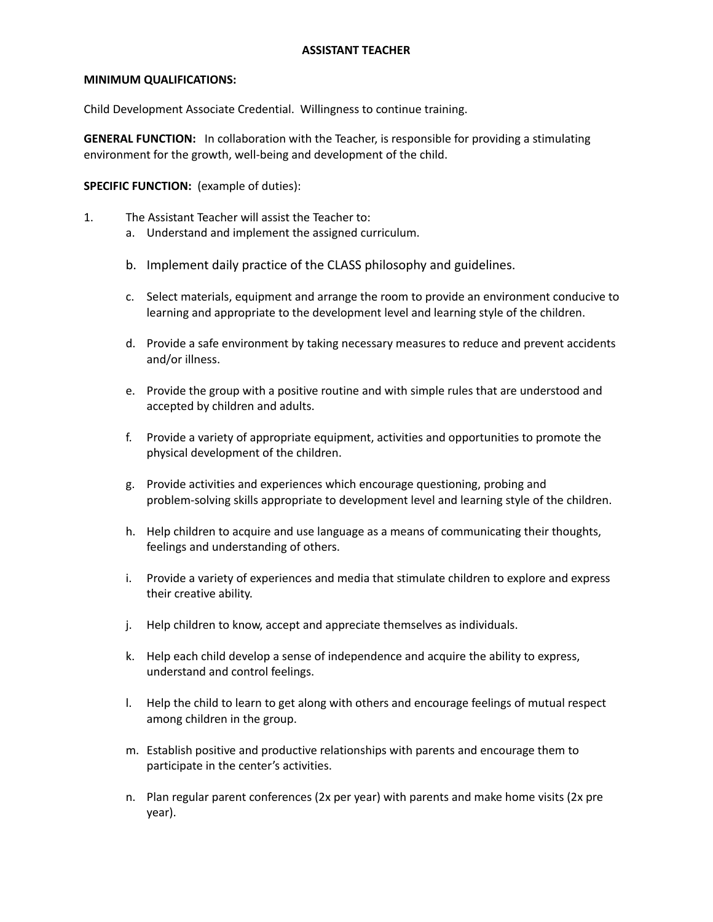## **ASSISTANT TEACHER**

## **MINIMUM QUALIFICATIONS:**

Child Development Associate Credential. Willingness to continue training.

**GENERAL FUNCTION:** In collaboration with the Teacher, is responsible for providing a stimulating environment for the growth, well-being and development of the child.

**SPECIFIC FUNCTION:** (example of duties):

- 1. The Assistant Teacher will assist the Teacher to:
	- a. Understand and implement the assigned curriculum.
	- b. Implement daily practice of the CLASS philosophy and guidelines.
	- c. Select materials, equipment and arrange the room to provide an environment conducive to learning and appropriate to the development level and learning style of the children.
	- d. Provide a safe environment by taking necessary measures to reduce and prevent accidents and/or illness.
	- e. Provide the group with a positive routine and with simple rules that are understood and accepted by children and adults.
	- f. Provide a variety of appropriate equipment, activities and opportunities to promote the physical development of the children.
	- g. Provide activities and experiences which encourage questioning, probing and problem-solving skills appropriate to development level and learning style of the children.
	- h. Help children to acquire and use language as a means of communicating their thoughts, feelings and understanding of others.
	- i. Provide a variety of experiences and media that stimulate children to explore and express their creative ability.
	- j. Help children to know, accept and appreciate themselves as individuals.
	- k. Help each child develop a sense of independence and acquire the ability to express, understand and control feelings.
	- l. Help the child to learn to get along with others and encourage feelings of mutual respect among children in the group.
	- m. Establish positive and productive relationships with parents and encourage them to participate in the center's activities.
	- n. Plan regular parent conferences (2x per year) with parents and make home visits (2x pre year).